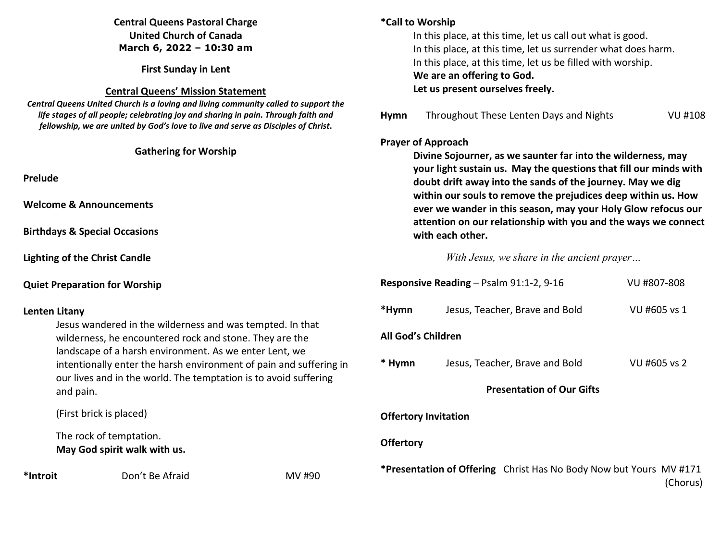# **Central Queens Pastoral Charge United Church of Canada March 6, 2022 – 10:30 am**

**First Sunday in Lent** 

#### **Central Queens' Mission Statement**

 *Central Queens United Church is a loving and living community called to support the life stages of all people; celebrating joy and sharing in pain. Through faith and fellowship, we are united by God's love to live and serve as Disciples of Christ***.** 

### **Gathering for Worship**

**Prelude** 

**Welcome & Announcements** 

**Birthdays & Special Occasions** 

**Lighting of the Christ Candle** 

## **Quiet Preparation for Worship**

## **Lenten Litany**

 Jesus wandered in the wilderness and was tempted. In that wilderness, he encountered rock and stone. They are the landscape of a harsh environment. As we enter Lent, we intentionally enter the harsh environment of pain and suffering in our lives and in the world. The temptation is to avoid suffering and pain.

(First brick is placed)

 The rock of temptation.  **May God spirit walk with us.**

\*Introit **Don't Be Afraid MV #90** 

# **\*Call to Worship** In this place, at this time, let us call out what is good. In this place, at this time, let us surrender what does harm. In this place, at this time, let us be filled with worship. **We are an offering to God.**

 **Let us present ourselves freely.** 

**Hymn** Throughout These Lenten Days and Nights VU #108

### **Prayer of Approach**

 **Divine Sojourner, as we saunter far into the wilderness, may your light sustain us. May the questions that fill our minds with doubt drift away into the sands of the journey. May we dig within our souls to remove the prejudices deep within us. How ever we wander in this season, may your Holy Glow refocus our attention on our relationship with you and the ways we connect with each other.** 

*With Jesus, we share in the ancient prayer…* 

| VU #807-808  |
|--------------|
| VU #605 vs 1 |
|              |
| VU #605 vs 2 |
|              |
|              |

## **Offertory Invitation**

## **Offertory**

**\*Presentation of Offering** Christ Has No Body Now but Yours MV #171 (Chorus)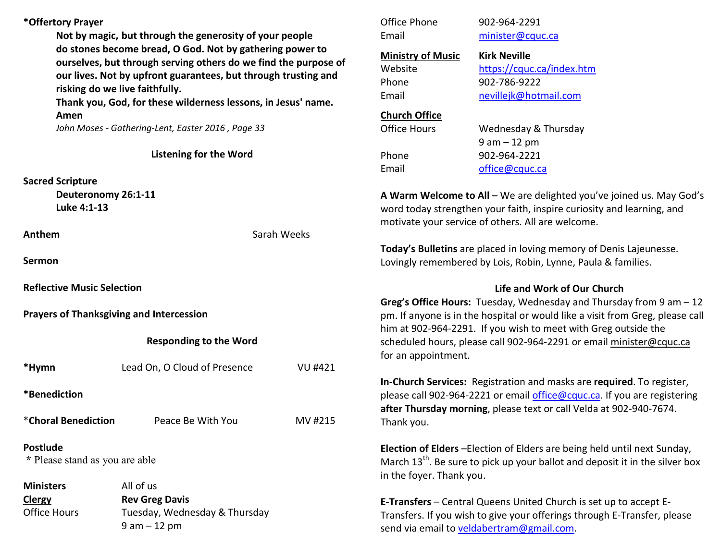## **\*Offertory Prayer**

**Not by magic, but through the generosity of your people do stones become bread, O God. Not by gathering power to ourselves, but through serving others do we find the purpose of our lives. Not by upfront guarantees, but through trusting and risking do we live faithfully.** 

**Thank you, God, for these wilderness lessons, in Jesus' name. Amen** 

*John Moses - Gathering-Lent, Easter 2016 , Page 33* 

**Listening for the Word** 

#### **Sacred Scripture**

 **Deuteronomy 26:1-11 Luke 4:1-13** 

**Anthem Sarah Weeks** 

**Sermon** 

**Reflective Music Selection** 

**Prayers of Thanksgiving and Intercession** 

## **Responding to the Word**

**\*Hymn** Lead On, O Cloud of Presence VU #421 **\*Benediction** \***Choral Benediction** Peace Be With You MV #215**Postlude** 

 **\*** Please stand as you are able

**Ministers All of us ClergyClergy Careg Davis**<br>Office Hours Tuesday, Wedn Tuesday, Wednesday & Thursday 9 am – 12 pm

Office Phone 902-964-2291 Email minister@cquc.ca

**Ministry of Music**Phone 902-786-9222

 **Kirk Neville**Website https://cquc.ca/index.htm

Email nevillejk@hotmail.com

### **Church Office**

Office Hours

Wednesday & Thursday 9 am – 12 pm Phone 902-964-2221 Email office@cquc.ca

**A Warm Welcome to All** – We are delighted you've joined us. May God's word today strengthen your faith, inspire curiosity and learning, and motivate your service of others. All are welcome.

**Today's Bulletins** are placed in loving memory of Denis Lajeunesse. Lovingly remembered by Lois, Robin, Lynne, Paula & families.

## **Life and Work of Our Church**

**Greg's Office Hours:** Tuesday, Wednesday and Thursday from 9 am – 12 pm. If anyone is in the hospital or would like a visit from Greg, please call him at 902-964-2291. If you wish to meet with Greg outside the scheduled hours, please call 902-964-2291 or email minister@cquc.ca for an appointment.

**In-Church Services:** Registration and masks are **required**. To register, please call 902-964-2221 or email office@cquc.ca. If you are registering **after Thursday morning**, please text or call Velda at 902-940-7674. Thank you.

**Election of Elders** –Election of Elders are being held until next Sunday, March  $13<sup>th</sup>$ . Be sure to pick up your ballot and deposit it in the silver box in the foyer. Thank you.

**E-Transfers** – Central Queens United Church is set up to accept E-Transfers. If you wish to give your offerings through E-Transfer, please send via email to veldabertram@gmail.com.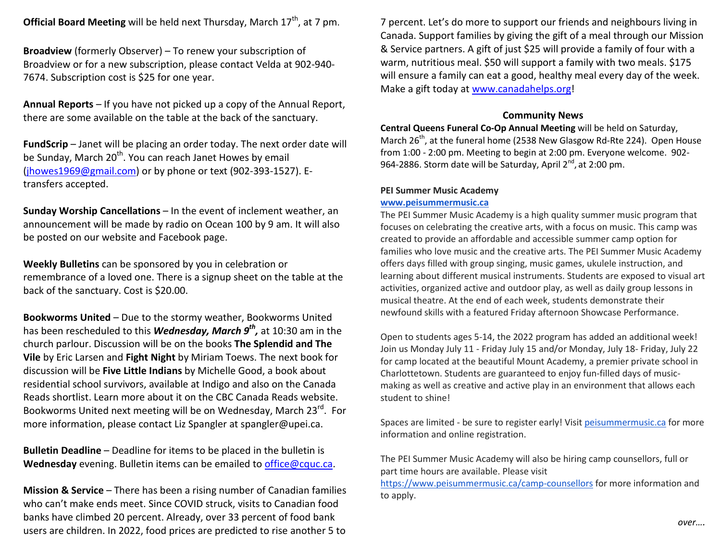**Official Board Meeting** will be held next Thursday, March 17<sup>th</sup>, at 7 pm.

**Broadview** (formerly Observer) – To renew your subscription of Broadview or for a new subscription, please contact Velda at 902-940-7674. Subscription cost is \$25 for one year.

**Annual Reports** – If you have not picked up a copy of the Annual Report, there are some available on the table at the back of the sanctuary.

**FundScrip** – Janet will be placing an order today. The next order date will be Sunday, March 20<sup>th</sup>. You can reach Janet Howes by email (jhowes1969@gmail.com) or by phone or text (902-393-1527). Etransfers accepted.

**Sunday Worship Cancellations** – In the event of inclement weather, an announcement will be made by radio on Ocean 100 by 9 am. It will also be posted on our website and Facebook page.

**Weekly Bulletins** can be sponsored by you in celebration or remembrance of a loved one. There is a signup sheet on the table at the back of the sanctuary. Cost is \$20.00.

**Bookworms United** – Due to the stormy weather, Bookworms United has been rescheduled to this *Wednesday, March 9th ,* at 10:30 am in the church parlour. Discussion will be on the books **The Splendid and The Vile** by Eric Larsen and **Fight Night** by Miriam Toews. The next book for discussion will be **Five Little Indians** by Michelle Good, a book about residential school survivors, available at Indigo and also on the Canada Reads shortlist. Learn more about it on the CBC Canada Reads website. Bookworms United next meeting will be on Wednesday, March 23<sup>rd</sup>. For more information, please contact Liz Spangler at spangler@upei.ca.

**Bulletin Deadline** – Deadline for items to be placed in the bulletin is **Wednesday** evening. Bulletin items can be emailed to office@cquc.ca.

**Mission & Service** – There has been a rising number of Canadian families who can't make ends meet. Since COVID struck, visits to Canadian food banks have climbed 20 percent. Already, over 33 percent of food bank users are children. In 2022, food prices are predicted to rise another 5 to

7 percent. Let's do more to support our friends and neighbours living in Canada. Support families by giving the gift of a meal through our Mission & Service partners. A gift of just \$25 will provide a family of four with a warm, nutritious meal. \$50 will support a family with two meals. \$175 will ensure a family can eat a good, healthy meal every day of the week. Make a gift today at www.canadahelps.org!

#### **Community News**

 **Central Queens Funeral Co-Op Annual Meeting** will be held on Saturday, March 26<sup>th</sup>, at the funeral home (2538 New Glasgow Rd-Rte 224). Open House from 1:00 - 2:00 pm. Meeting to begin at 2:00 pm. Everyone welcome. 902-964-2886. Storm date will be Saturday, April 2<sup>nd</sup>, at 2:00 pm.

#### **PEI Summer Music Academy**

#### **www.peisummermusic.ca**

 The PEI Summer Music Academy is a high quality summer music program that focuses on celebrating the creative arts, with a focus on music. This camp was created to provide an affordable and accessible summer camp option for families who love music and the creative arts. The PEI Summer Music Academy offers days filled with group singing, music games, ukulele instruction, and learning about different musical instruments. Students are exposed to visual art activities, organized active and outdoor play, as well as daily group lessons in musical theatre. At the end of each week, students demonstrate their newfound skills with a featured Friday afternoon Showcase Performance.

Open to students ages 5-14, the 2022 program has added an additional week! Join us Monday July 11 - Friday July 15 and/or Monday, July 18- Friday, July 22 for camp located at the beautiful Mount Academy, a premier private school in Charlottetown. Students are guaranteed to enjoy fun-filled days of musicmaking as well as creative and active play in an environment that allows each student to shine!

Spaces are limited - be sure to register early! Visit peisummermusic.ca for more information and online registration.

The PEI Summer Music Academy will also be hiring camp counsellors, full or part time hours are available. Please visit

https://www.peisummermusic.ca/camp-counsellors for more information and to apply.